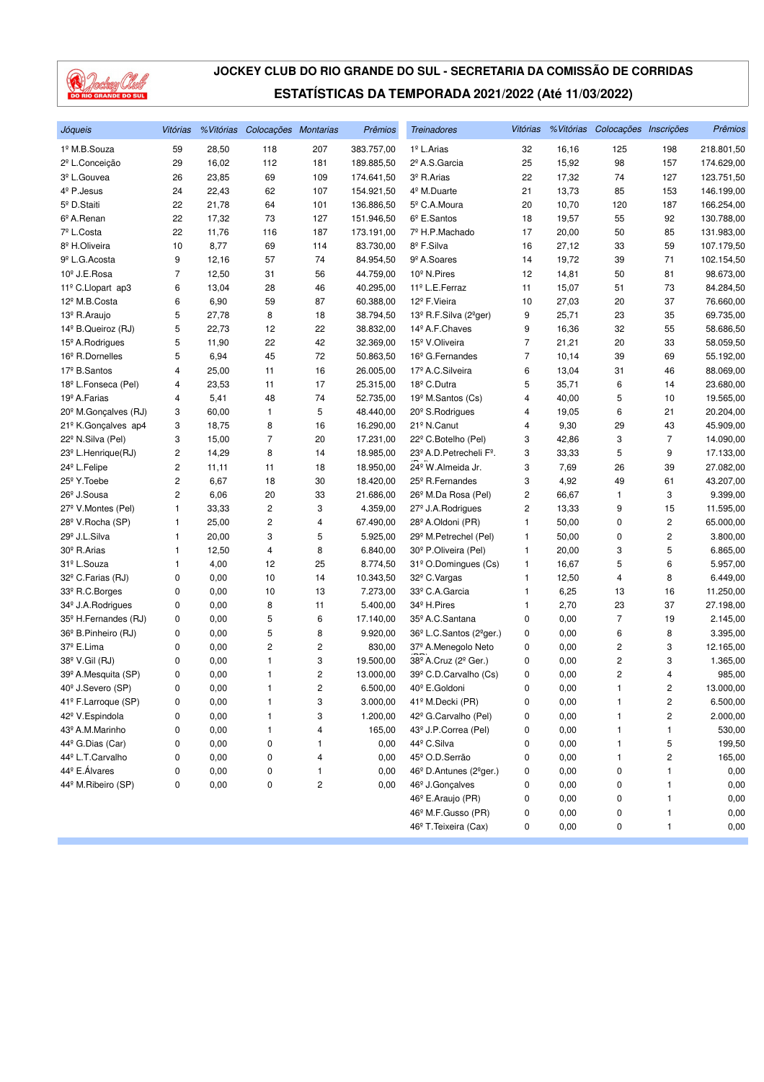

| Jóqueis                                                                                                                                                                                                                                                                                                                                                                                                                           | Vitórias                                                                     |                                                                                                                              | % Vitórias Colocações Montarias                                                                                   |                                                                                              | Prêmios                                                                                                                                                                      | <b>Treinadores</b>                                                                                                                                                                                                                                                                                                                                                                                                                                                                                                      | Vitórias                                                                               |                                                                                                                                               | % Vitórias Colocações Inscrições                                                                      |                                                                                           | Prêmios                                                                                                                        |
|-----------------------------------------------------------------------------------------------------------------------------------------------------------------------------------------------------------------------------------------------------------------------------------------------------------------------------------------------------------------------------------------------------------------------------------|------------------------------------------------------------------------------|------------------------------------------------------------------------------------------------------------------------------|-------------------------------------------------------------------------------------------------------------------|----------------------------------------------------------------------------------------------|------------------------------------------------------------------------------------------------------------------------------------------------------------------------------|-------------------------------------------------------------------------------------------------------------------------------------------------------------------------------------------------------------------------------------------------------------------------------------------------------------------------------------------------------------------------------------------------------------------------------------------------------------------------------------------------------------------------|----------------------------------------------------------------------------------------|-----------------------------------------------------------------------------------------------------------------------------------------------|-------------------------------------------------------------------------------------------------------|-------------------------------------------------------------------------------------------|--------------------------------------------------------------------------------------------------------------------------------|
| 1º M.B.Souza                                                                                                                                                                                                                                                                                                                                                                                                                      | 59                                                                           | 28,50                                                                                                                        | 118                                                                                                               | 207                                                                                          | 383.757,00                                                                                                                                                                   | 1 <sup>º</sup> L.Arias                                                                                                                                                                                                                                                                                                                                                                                                                                                                                                  | 32                                                                                     | 16,16                                                                                                                                         | 125                                                                                                   | 198                                                                                       | 218.801,50                                                                                                                     |
| 2º L.Conceição                                                                                                                                                                                                                                                                                                                                                                                                                    | 29                                                                           | 16,02                                                                                                                        | 112                                                                                                               | 181                                                                                          | 189.885,50                                                                                                                                                                   | 2º A.S.Garcia                                                                                                                                                                                                                                                                                                                                                                                                                                                                                                           | 25                                                                                     | 15,92                                                                                                                                         | 98                                                                                                    | 157                                                                                       | 174.629,00                                                                                                                     |
| 3 <sup>º</sup> L.Gouvea                                                                                                                                                                                                                                                                                                                                                                                                           | 26                                                                           | 23,85                                                                                                                        | 69                                                                                                                | 109                                                                                          | 174.641,50                                                                                                                                                                   | 3º R.Arias                                                                                                                                                                                                                                                                                                                                                                                                                                                                                                              | 22                                                                                     | 17,32                                                                                                                                         | 74                                                                                                    | 127                                                                                       | 123.751,50                                                                                                                     |
| 4 <sup>º</sup> P.Jesus                                                                                                                                                                                                                                                                                                                                                                                                            | 24                                                                           | 22,43                                                                                                                        | 62                                                                                                                | 107                                                                                          | 154.921,50                                                                                                                                                                   | 4 <sup>º</sup> M.Duarte                                                                                                                                                                                                                                                                                                                                                                                                                                                                                                 | 21                                                                                     | 13,73                                                                                                                                         | 85                                                                                                    | 153                                                                                       | 146.199,00                                                                                                                     |
| 5º D.Staiti                                                                                                                                                                                                                                                                                                                                                                                                                       | 22                                                                           | 21,78                                                                                                                        | 64                                                                                                                | 101                                                                                          | 136.886,50                                                                                                                                                                   | 5 <sup>°</sup> C.A.Moura                                                                                                                                                                                                                                                                                                                                                                                                                                                                                                | 20                                                                                     | 10,70                                                                                                                                         | 120                                                                                                   | 187                                                                                       | 166.254,00                                                                                                                     |
| 6º A.Renan                                                                                                                                                                                                                                                                                                                                                                                                                        | 22                                                                           | 17,32                                                                                                                        | 73                                                                                                                | 127                                                                                          | 151.946,50                                                                                                                                                                   | $6^{\circ}$ E.Santos                                                                                                                                                                                                                                                                                                                                                                                                                                                                                                    | 18                                                                                     | 19,57                                                                                                                                         | 55                                                                                                    | 92                                                                                        | 130.788,00                                                                                                                     |
| 7º L.Costa                                                                                                                                                                                                                                                                                                                                                                                                                        | 22                                                                           | 11,76                                                                                                                        | 116                                                                                                               | 187                                                                                          | 173.191,00                                                                                                                                                                   | 7º H.P.Machado                                                                                                                                                                                                                                                                                                                                                                                                                                                                                                          | 17                                                                                     | 20,00                                                                                                                                         | 50                                                                                                    | 85                                                                                        | 131.983,00                                                                                                                     |
| 8 <sup>º</sup> H.Oliveira                                                                                                                                                                                                                                                                                                                                                                                                         | 10                                                                           | 8,77                                                                                                                         | 69                                                                                                                | 114                                                                                          | 83.730,00                                                                                                                                                                    | 8º F.Silva                                                                                                                                                                                                                                                                                                                                                                                                                                                                                                              | 16                                                                                     | 27,12                                                                                                                                         | 33                                                                                                    | 59                                                                                        | 107.179,50                                                                                                                     |
| 9 <sup>°</sup> L.G. Acosta                                                                                                                                                                                                                                                                                                                                                                                                        | 9                                                                            | 12,16                                                                                                                        | 57                                                                                                                | 74                                                                                           | 84.954,50                                                                                                                                                                    | 9 <sup>º</sup> A.Soares                                                                                                                                                                                                                                                                                                                                                                                                                                                                                                 | 14                                                                                     | 19,72                                                                                                                                         | 39                                                                                                    | 71                                                                                        | 102.154,50                                                                                                                     |
| 10 <sup>°</sup> J.E.Rosa                                                                                                                                                                                                                                                                                                                                                                                                          | 7                                                                            | 12,50                                                                                                                        | 31                                                                                                                | 56                                                                                           | 44.759,00                                                                                                                                                                    | 10 <sup>°</sup> N.Pires                                                                                                                                                                                                                                                                                                                                                                                                                                                                                                 | 12                                                                                     | 14,81                                                                                                                                         | 50                                                                                                    | 81                                                                                        | 98.673,00                                                                                                                      |
| 11º C.Llopart ap3                                                                                                                                                                                                                                                                                                                                                                                                                 | 6                                                                            | 13,04                                                                                                                        | 28                                                                                                                | 46                                                                                           | 40.295,00                                                                                                                                                                    | 11 <sup>º</sup> L.E.Ferraz                                                                                                                                                                                                                                                                                                                                                                                                                                                                                              | 11                                                                                     | 15,07                                                                                                                                         | 51                                                                                                    | 73                                                                                        | 84.284,50                                                                                                                      |
| 12 <sup>º</sup> M.B.Costa                                                                                                                                                                                                                                                                                                                                                                                                         | 6                                                                            | 6,90                                                                                                                         | 59                                                                                                                | 87                                                                                           | 60.388,00                                                                                                                                                                    | 12 <sup>º</sup> F.Vieira                                                                                                                                                                                                                                                                                                                                                                                                                                                                                                | 10                                                                                     | 27,03                                                                                                                                         | 20                                                                                                    | 37                                                                                        | 76.660,00                                                                                                                      |
| 13º R.Araujo                                                                                                                                                                                                                                                                                                                                                                                                                      | 5                                                                            | 27,78                                                                                                                        | 8                                                                                                                 | 18                                                                                           | 38.794,50                                                                                                                                                                    | 13º R.F.Silva (2ºger)                                                                                                                                                                                                                                                                                                                                                                                                                                                                                                   | 9                                                                                      | 25,71                                                                                                                                         | 23                                                                                                    | 35                                                                                        | 69.735,00                                                                                                                      |
| 14 <sup>°</sup> B.Queiroz (RJ)                                                                                                                                                                                                                                                                                                                                                                                                    | 5                                                                            | 22,73                                                                                                                        | 12                                                                                                                | 22                                                                                           | 38.832,00                                                                                                                                                                    | 14 <sup>º</sup> A.F.Chaves                                                                                                                                                                                                                                                                                                                                                                                                                                                                                              | 9                                                                                      | 16,36                                                                                                                                         | 32                                                                                                    | 55                                                                                        | 58.686,50                                                                                                                      |
| 15 <sup>°</sup> A. Rodrigues                                                                                                                                                                                                                                                                                                                                                                                                      | 5                                                                            | 11,90                                                                                                                        | 22                                                                                                                | 42                                                                                           | 32.369,00                                                                                                                                                                    | 15 <sup>º</sup> V.Oliveira                                                                                                                                                                                                                                                                                                                                                                                                                                                                                              | 7                                                                                      | 21,21                                                                                                                                         | 20                                                                                                    | 33                                                                                        | 58.059,50                                                                                                                      |
| 16 <sup>°</sup> R.Dornelles                                                                                                                                                                                                                                                                                                                                                                                                       | 5                                                                            | 6,94                                                                                                                         | 45                                                                                                                | 72                                                                                           | 50.863,50                                                                                                                                                                    | 16 <sup>°</sup> G.Fernandes                                                                                                                                                                                                                                                                                                                                                                                                                                                                                             | $\overline{7}$                                                                         | 10,14                                                                                                                                         | 39                                                                                                    | 69                                                                                        | 55.192,00                                                                                                                      |
| 17º B.Santos                                                                                                                                                                                                                                                                                                                                                                                                                      | 4                                                                            | 25,00                                                                                                                        | 11                                                                                                                | 16                                                                                           | 26.005,00                                                                                                                                                                    | 17º A.C.Silveira                                                                                                                                                                                                                                                                                                                                                                                                                                                                                                        | 6                                                                                      | 13,04                                                                                                                                         | 31                                                                                                    | 46                                                                                        | 88.069,00                                                                                                                      |
| 18º L.Fonseca (Pel)                                                                                                                                                                                                                                                                                                                                                                                                               | 4                                                                            | 23,53                                                                                                                        | 11                                                                                                                | 17                                                                                           | 25.315,00                                                                                                                                                                    | 18º C.Dutra                                                                                                                                                                                                                                                                                                                                                                                                                                                                                                             | 5                                                                                      | 35,71                                                                                                                                         | 6                                                                                                     | 14                                                                                        | 23.680,00                                                                                                                      |
| 19 <sup>º</sup> A.Farias                                                                                                                                                                                                                                                                                                                                                                                                          | 4                                                                            | 5,41                                                                                                                         | 48                                                                                                                | 74                                                                                           | 52.735,00                                                                                                                                                                    | 19 <sup>°</sup> M.Santos (Cs)                                                                                                                                                                                                                                                                                                                                                                                                                                                                                           | 4                                                                                      | 40,00                                                                                                                                         | 5                                                                                                     | 10                                                                                        | 19.565,00                                                                                                                      |
| 20 <sup>°</sup> M.Gonçalves (RJ)                                                                                                                                                                                                                                                                                                                                                                                                  | 3                                                                            | 60,00                                                                                                                        | 1                                                                                                                 | 5                                                                                            | 48.440,00                                                                                                                                                                    | 20 <sup>°</sup> S.Rodrigues                                                                                                                                                                                                                                                                                                                                                                                                                                                                                             | 4                                                                                      | 19,05                                                                                                                                         | 6                                                                                                     | 21                                                                                        | 20.204,00                                                                                                                      |
| 21º K.Gonçalves ap4                                                                                                                                                                                                                                                                                                                                                                                                               | 3                                                                            | 18,75                                                                                                                        | 8                                                                                                                 | 16                                                                                           | 16.290,00                                                                                                                                                                    | 21º N.Canut                                                                                                                                                                                                                                                                                                                                                                                                                                                                                                             | 4                                                                                      | 9,30                                                                                                                                          | 29                                                                                                    | 43                                                                                        | 45.909,00                                                                                                                      |
| 22º N.Silva (Pel)                                                                                                                                                                                                                                                                                                                                                                                                                 | 3                                                                            | 15,00                                                                                                                        | $\overline{7}$                                                                                                    | 20                                                                                           | 17.231,00                                                                                                                                                                    | 22º C.Botelho (Pel)                                                                                                                                                                                                                                                                                                                                                                                                                                                                                                     | 3                                                                                      | 42,86                                                                                                                                         | 3                                                                                                     | 7                                                                                         | 14.090,00                                                                                                                      |
| 23 <sup>°</sup> L.Henrique(RJ)                                                                                                                                                                                                                                                                                                                                                                                                    | $\overline{c}$                                                               | 14,29                                                                                                                        | 8                                                                                                                 | 14                                                                                           | 18.985,00                                                                                                                                                                    | 23º A.D. Petrecheli Fº.                                                                                                                                                                                                                                                                                                                                                                                                                                                                                                 | 3                                                                                      | 33,33                                                                                                                                         | 5                                                                                                     | 9                                                                                         | 17.133,00                                                                                                                      |
| 24 <sup>°</sup> L.Felipe                                                                                                                                                                                                                                                                                                                                                                                                          | $\overline{\mathbf{c}}$                                                      | 11,11                                                                                                                        | 11                                                                                                                | 18                                                                                           | 18.950,00                                                                                                                                                                    | 24 <sup>°</sup> W.Almeida Jr.                                                                                                                                                                                                                                                                                                                                                                                                                                                                                           | 3                                                                                      | 7,69                                                                                                                                          | 26                                                                                                    | 39                                                                                        | 27.082,00                                                                                                                      |
| 25 <sup>°</sup> Y. Toebe                                                                                                                                                                                                                                                                                                                                                                                                          | $\overline{c}$                                                               | 6,67                                                                                                                         | 18                                                                                                                | 30                                                                                           | 18.420,00                                                                                                                                                                    | 25 <sup>°</sup> R.Fernandes                                                                                                                                                                                                                                                                                                                                                                                                                                                                                             | 3                                                                                      | 4,92                                                                                                                                          | 49                                                                                                    | 61                                                                                        | 43.207,00                                                                                                                      |
| 26 <sup>°</sup> J.Sousa                                                                                                                                                                                                                                                                                                                                                                                                           | $\overline{c}$                                                               | 6,06                                                                                                                         | 20                                                                                                                | 33                                                                                           | 21.686,00                                                                                                                                                                    | 26 <sup>°</sup> M.Da Rosa (Pel)                                                                                                                                                                                                                                                                                                                                                                                                                                                                                         | 2                                                                                      | 66,67                                                                                                                                         | 1                                                                                                     | 3                                                                                         | 9.399,00                                                                                                                       |
| 27 <sup>°</sup> V.Montes (Pel)                                                                                                                                                                                                                                                                                                                                                                                                    | 1                                                                            | 33,33                                                                                                                        | 2                                                                                                                 | 3                                                                                            | 4.359,00                                                                                                                                                                     | 27 <sup>°</sup> J.A.Rodrigues                                                                                                                                                                                                                                                                                                                                                                                                                                                                                           | 2                                                                                      | 13,33                                                                                                                                         | 9                                                                                                     | 15                                                                                        | 11.595,00                                                                                                                      |
| 28º V.Rocha (SP)                                                                                                                                                                                                                                                                                                                                                                                                                  | 1                                                                            | 25,00                                                                                                                        | 2                                                                                                                 | 4                                                                                            | 67.490,00                                                                                                                                                                    | 28º A.Oldoni (PR)                                                                                                                                                                                                                                                                                                                                                                                                                                                                                                       | 1                                                                                      | 50,00                                                                                                                                         | 0                                                                                                     | 2                                                                                         | 65.000,00                                                                                                                      |
| 29 <sup>°</sup> J.L.Silva                                                                                                                                                                                                                                                                                                                                                                                                         | 1                                                                            | 20,00                                                                                                                        | 3                                                                                                                 | 5                                                                                            | 5.925,00                                                                                                                                                                     | 29 <sup>°</sup> M.Petrechel (Pel)                                                                                                                                                                                                                                                                                                                                                                                                                                                                                       | 1                                                                                      | 50,00                                                                                                                                         | 0                                                                                                     | 2                                                                                         | 3.800,00                                                                                                                       |
| 30 <sup>°</sup> R.Arias                                                                                                                                                                                                                                                                                                                                                                                                           | $\mathbf{1}$                                                                 | 12,50                                                                                                                        | $\overline{4}$                                                                                                    | 8                                                                                            | 6.840,00                                                                                                                                                                     | 30 <sup>°</sup> P.Oliveira (Pel)                                                                                                                                                                                                                                                                                                                                                                                                                                                                                        | 1                                                                                      | 20,00                                                                                                                                         | 3                                                                                                     | 5                                                                                         | 6.865,00                                                                                                                       |
| 31º L.Souza                                                                                                                                                                                                                                                                                                                                                                                                                       | 1                                                                            | 4,00                                                                                                                         | 12                                                                                                                | 25                                                                                           | 8.774,50                                                                                                                                                                     | 31º O.Domingues (Cs)                                                                                                                                                                                                                                                                                                                                                                                                                                                                                                    | 1                                                                                      | 16,67                                                                                                                                         | 5                                                                                                     | 6                                                                                         | 5.957,00                                                                                                                       |
|                                                                                                                                                                                                                                                                                                                                                                                                                                   |                                                                              |                                                                                                                              |                                                                                                                   |                                                                                              |                                                                                                                                                                              |                                                                                                                                                                                                                                                                                                                                                                                                                                                                                                                         |                                                                                        |                                                                                                                                               |                                                                                                       |                                                                                           | 6.449,00                                                                                                                       |
|                                                                                                                                                                                                                                                                                                                                                                                                                                   |                                                                              |                                                                                                                              |                                                                                                                   |                                                                                              |                                                                                                                                                                              |                                                                                                                                                                                                                                                                                                                                                                                                                                                                                                                         |                                                                                        |                                                                                                                                               |                                                                                                       |                                                                                           |                                                                                                                                |
|                                                                                                                                                                                                                                                                                                                                                                                                                                   |                                                                              |                                                                                                                              |                                                                                                                   |                                                                                              |                                                                                                                                                                              |                                                                                                                                                                                                                                                                                                                                                                                                                                                                                                                         |                                                                                        |                                                                                                                                               |                                                                                                       |                                                                                           |                                                                                                                                |
|                                                                                                                                                                                                                                                                                                                                                                                                                                   |                                                                              |                                                                                                                              |                                                                                                                   |                                                                                              |                                                                                                                                                                              |                                                                                                                                                                                                                                                                                                                                                                                                                                                                                                                         |                                                                                        |                                                                                                                                               |                                                                                                       |                                                                                           |                                                                                                                                |
|                                                                                                                                                                                                                                                                                                                                                                                                                                   |                                                                              |                                                                                                                              |                                                                                                                   |                                                                                              |                                                                                                                                                                              |                                                                                                                                                                                                                                                                                                                                                                                                                                                                                                                         |                                                                                        |                                                                                                                                               |                                                                                                       |                                                                                           |                                                                                                                                |
|                                                                                                                                                                                                                                                                                                                                                                                                                                   |                                                                              |                                                                                                                              |                                                                                                                   |                                                                                              |                                                                                                                                                                              |                                                                                                                                                                                                                                                                                                                                                                                                                                                                                                                         |                                                                                        |                                                                                                                                               |                                                                                                       |                                                                                           |                                                                                                                                |
|                                                                                                                                                                                                                                                                                                                                                                                                                                   |                                                                              |                                                                                                                              |                                                                                                                   |                                                                                              |                                                                                                                                                                              |                                                                                                                                                                                                                                                                                                                                                                                                                                                                                                                         |                                                                                        |                                                                                                                                               |                                                                                                       |                                                                                           | 1.365,00                                                                                                                       |
|                                                                                                                                                                                                                                                                                                                                                                                                                                   |                                                                              |                                                                                                                              |                                                                                                                   |                                                                                              |                                                                                                                                                                              |                                                                                                                                                                                                                                                                                                                                                                                                                                                                                                                         |                                                                                        |                                                                                                                                               |                                                                                                       |                                                                                           | 985,00                                                                                                                         |
|                                                                                                                                                                                                                                                                                                                                                                                                                                   |                                                                              |                                                                                                                              |                                                                                                                   |                                                                                              |                                                                                                                                                                              |                                                                                                                                                                                                                                                                                                                                                                                                                                                                                                                         |                                                                                        |                                                                                                                                               |                                                                                                       |                                                                                           |                                                                                                                                |
|                                                                                                                                                                                                                                                                                                                                                                                                                                   |                                                                              |                                                                                                                              |                                                                                                                   |                                                                                              |                                                                                                                                                                              |                                                                                                                                                                                                                                                                                                                                                                                                                                                                                                                         |                                                                                        |                                                                                                                                               |                                                                                                       |                                                                                           |                                                                                                                                |
|                                                                                                                                                                                                                                                                                                                                                                                                                                   |                                                                              |                                                                                                                              |                                                                                                                   |                                                                                              |                                                                                                                                                                              |                                                                                                                                                                                                                                                                                                                                                                                                                                                                                                                         |                                                                                        |                                                                                                                                               |                                                                                                       |                                                                                           |                                                                                                                                |
|                                                                                                                                                                                                                                                                                                                                                                                                                                   |                                                                              |                                                                                                                              |                                                                                                                   |                                                                                              |                                                                                                                                                                              |                                                                                                                                                                                                                                                                                                                                                                                                                                                                                                                         |                                                                                        |                                                                                                                                               |                                                                                                       |                                                                                           |                                                                                                                                |
|                                                                                                                                                                                                                                                                                                                                                                                                                                   |                                                                              |                                                                                                                              |                                                                                                                   |                                                                                              |                                                                                                                                                                              |                                                                                                                                                                                                                                                                                                                                                                                                                                                                                                                         |                                                                                        |                                                                                                                                               |                                                                                                       |                                                                                           |                                                                                                                                |
|                                                                                                                                                                                                                                                                                                                                                                                                                                   |                                                                              |                                                                                                                              |                                                                                                                   |                                                                                              |                                                                                                                                                                              |                                                                                                                                                                                                                                                                                                                                                                                                                                                                                                                         |                                                                                        |                                                                                                                                               |                                                                                                       |                                                                                           |                                                                                                                                |
|                                                                                                                                                                                                                                                                                                                                                                                                                                   |                                                                              |                                                                                                                              |                                                                                                                   |                                                                                              |                                                                                                                                                                              |                                                                                                                                                                                                                                                                                                                                                                                                                                                                                                                         |                                                                                        |                                                                                                                                               |                                                                                                       |                                                                                           | 0,00                                                                                                                           |
|                                                                                                                                                                                                                                                                                                                                                                                                                                   |                                                                              |                                                                                                                              |                                                                                                                   |                                                                                              |                                                                                                                                                                              |                                                                                                                                                                                                                                                                                                                                                                                                                                                                                                                         |                                                                                        |                                                                                                                                               |                                                                                                       |                                                                                           | 0,00                                                                                                                           |
|                                                                                                                                                                                                                                                                                                                                                                                                                                   |                                                                              |                                                                                                                              |                                                                                                                   |                                                                                              |                                                                                                                                                                              |                                                                                                                                                                                                                                                                                                                                                                                                                                                                                                                         |                                                                                        |                                                                                                                                               |                                                                                                       |                                                                                           |                                                                                                                                |
|                                                                                                                                                                                                                                                                                                                                                                                                                                   |                                                                              |                                                                                                                              |                                                                                                                   |                                                                                              |                                                                                                                                                                              |                                                                                                                                                                                                                                                                                                                                                                                                                                                                                                                         |                                                                                        |                                                                                                                                               |                                                                                                       |                                                                                           | 0,00<br>0,00                                                                                                                   |
|                                                                                                                                                                                                                                                                                                                                                                                                                                   |                                                                              |                                                                                                                              |                                                                                                                   |                                                                                              |                                                                                                                                                                              | 46 <sup>°</sup> T. Teixeira (Cax)                                                                                                                                                                                                                                                                                                                                                                                                                                                                                       | 0                                                                                      | 0,00                                                                                                                                          | 0                                                                                                     | 1                                                                                         | 0,00                                                                                                                           |
| 32º C.Farias (RJ)<br>33º R.C.Borges<br>34 <sup>°</sup> J.A.Rodrigues<br>35 <sup>°</sup> H.Fernandes (RJ)<br>36 <sup>°</sup> B. Pinheiro (RJ)<br>37º E.Lima<br>38 <sup>°</sup> V.Gil (RJ)<br>39º A.Mesquita (SP)<br>40 <sup>°</sup> J.Severo (SP)<br>41º F.Larroque (SP)<br>42 <sup>º</sup> V.Espindola<br>43º A.M.Marinho<br>44 <sup>°</sup> G.Dias (Car)<br>44º L.T.Carvalho<br>44 <sup>°</sup> E. Álvares<br>44º M.Ribeiro (SP) | 0<br>0<br>0<br>0<br>0<br>0<br>0<br>0<br>0<br>0<br>0<br>0<br>0<br>0<br>0<br>0 | 0,00<br>0,00<br>0,00<br>0,00<br>0,00<br>0,00<br>0,00<br>0,00<br>0,00<br>0,00<br>0,00<br>0,00<br>0,00<br>0,00<br>0,00<br>0,00 | 10<br>10<br>8<br>5<br>5<br>$\overline{c}$<br>1<br>$\mathbf{1}$<br>$\mathbf{1}$<br>1<br>1<br>1<br>0<br>0<br>0<br>0 | 14<br>13<br>11<br>6<br>8<br>2<br>3<br>2<br>$\overline{c}$<br>3<br>3<br>4<br>1<br>4<br>1<br>2 | 10.343,50<br>7.273,00<br>5.400,00<br>17.140,00<br>9.920,00<br>830,00<br>19.500,00<br>13.000,00<br>6.500,00<br>3.000,00<br>1.200,00<br>165,00<br>0,00<br>0,00<br>0,00<br>0,00 | 32º C.Vargas<br>33º C.A.Garcia<br>34 <sup>°</sup> H.Pires<br>35º A.C.Santana<br>36 <sup>°</sup> L.C.Santos (2 <sup>°</sup> ger.)<br>37º A.Menegolo Neto<br>38 <sup>°</sup> A.Cruz (2 <sup>°</sup> Ger.)<br>39º C.D.Carvalho (Cs)<br>40 <sup>°</sup> E.Goldoni<br>41º M.Decki (PR)<br>42º G.Carvalho (Pel)<br>43º J.P.Correa (Pel)<br>44º C.Silva<br>45º O.D.Serrão<br>46 <sup>°</sup> D.Antunes (2 <sup>°</sup> ger.)<br>46 <sup>°</sup> J.Gonçalves<br>46 <sup>°</sup> E.Araujo (PR)<br>46 <sup>°</sup> M.F.Gusso (PR) | 1<br>1<br>1<br>0<br>0<br>0<br>0<br>0<br>0<br>0<br>0<br>0<br>0<br>0<br>0<br>0<br>0<br>0 | 12,50<br>6,25<br>2,70<br>0,00<br>0,00<br>0,00<br>0,00<br>0,00<br>0,00<br>0,00<br>0,00<br>0,00<br>0,00<br>0,00<br>0,00<br>0,00<br>0,00<br>0,00 | 4<br>13<br>23<br>$\overline{7}$<br>6<br>2<br>2<br>2<br>1<br>1<br>1<br>1<br>1<br>1<br>0<br>0<br>0<br>0 | 8<br>16<br>37<br>19<br>8<br>3<br>3<br>4<br>2<br>2<br>2<br>1<br>5<br>2<br>1<br>1<br>1<br>1 | 11.250,00<br>27.198,00<br>2.145,00<br>3.395,00<br>12.165,00<br>13.000,00<br>6.500,00<br>2.000,00<br>530,00<br>199,50<br>165,00 |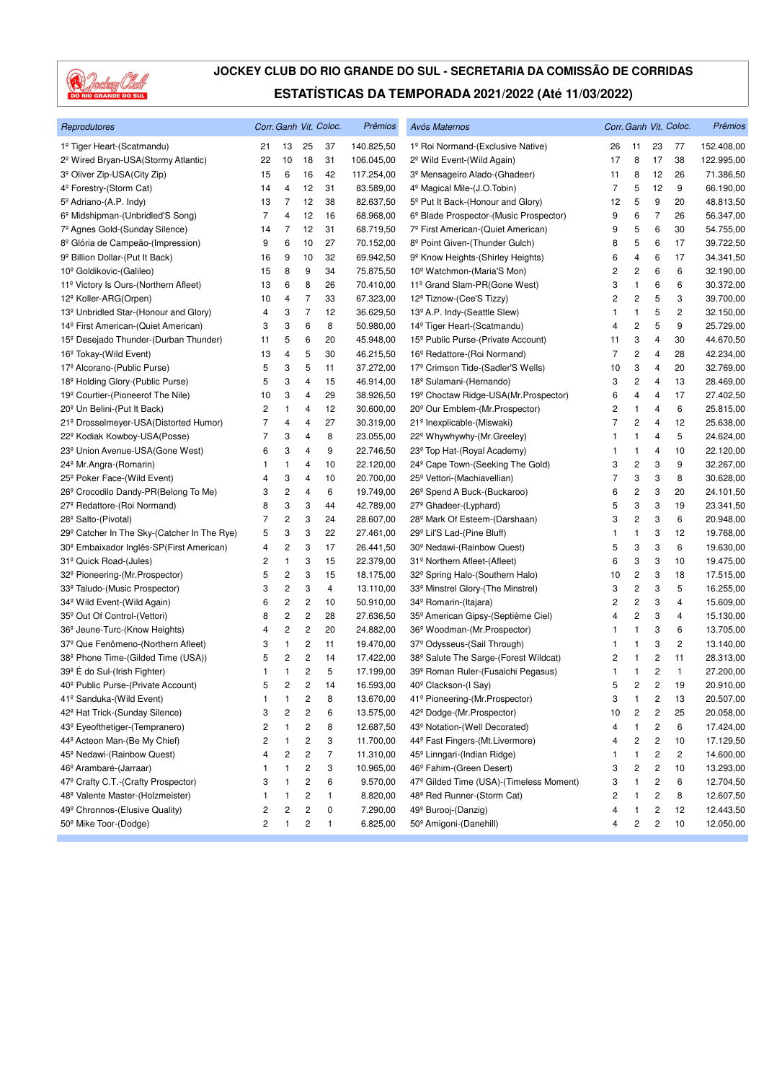

| Reprodutores                                            |                |                         |                         | Corr. Ganh Vit. Coloc. | Prêmios    | Avós Maternos                                     |                |                         |                         | Corr. Ganh Vit. Coloc. | Prêmios    |
|---------------------------------------------------------|----------------|-------------------------|-------------------------|------------------------|------------|---------------------------------------------------|----------------|-------------------------|-------------------------|------------------------|------------|
| 1º Tiger Heart-(Scatmandu)                              | 21             | 13                      | 25                      | 37                     | 140.825,50 | 1º Roi Normand-(Exclusive Native)                 | 26             | 11                      | 23                      | 77                     | 152.408,00 |
| 2 <sup>º</sup> Wired Bryan-USA(Stormy Atlantic)         | 22             | 10                      | 18                      | 31                     | 106.045,00 | 2 <sup>°</sup> Wild Event-(Wild Again)            | 17             | 8                       | 17                      | 38                     | 122.995,00 |
| 3 <sup>º</sup> Oliver Zip-USA(City Zip)                 | 15             | 6                       | 16                      | 42                     | 117.254,00 | 3 <sup>º</sup> Mensageiro Alado-(Ghadeer)         | 11             | 8                       | 12                      | 26                     | 71.386,50  |
| 4 <sup>º</sup> Forestry-(Storm Cat)                     | 14             | 4                       | 12                      | 31                     | 83.589,00  | 4 <sup>º</sup> Magical Mile-(J.O.Tobin)           | $\overline{7}$ | 5                       | 12                      | 9                      | 66.190,00  |
| 5 <sup>°</sup> Adriano-(A.P. Indy)                      | 13             | 7                       | 12                      | 38                     | 82.637,50  | 5 <sup>°</sup> Put It Back-(Honour and Glory)     | 12             | 5                       | 9                       | 20                     | 48.813,50  |
| 6 <sup>°</sup> Midshipman-(Unbridled'S Song)            | $\overline{7}$ | 4                       | 12                      | 16                     | 68.968,00  | 6º Blade Prospector-(Music Prospector)            | 9              | 6                       | $\overline{7}$          | 26                     | 56.347,00  |
| 7º Agnes Gold-(Sunday Silence)                          | 14             | 7                       | 12                      | 31                     | 68.719,50  | 7º First American-(Quiet American)                | 9              | 5                       | 6                       | 30                     | 54.755,00  |
| 8 <sup>º</sup> Glória de Campeão-(Impression)           | 9              | 6                       | 10                      | 27                     | 70.152,00  | 8º Point Given-(Thunder Gulch)                    | 8              | 5                       | 6                       | 17                     | 39.722,50  |
| 9 <sup>º</sup> Billion Dollar-(Put It Back)             | 16             | 9                       | 10                      | 32                     | 69.942,50  | 9 <sup>°</sup> Know Heights-(Shirley Heights)     | 6              | 4                       | 6                       | 17                     | 34.341,50  |
| 10 <sup>°</sup> Goldikovic-(Galileo)                    | 15             | 8                       | 9                       | 34                     | 75.875,50  | 10 <sup>°</sup> Watchmon-(Maria'S Mon)            | 2              | $\overline{\mathbf{c}}$ | 6                       | 6                      | 32.190,00  |
| 11º Victory Is Ours-(Northern Afleet)                   | 13             | 6                       | 8                       | 26                     | 70.410,00  | 11º Grand Slam-PR(Gone West)                      | 3              | $\mathbf{1}$            | 6                       | 6                      | 30.372,00  |
| 12 <sup>º</sup> Koller-ARG(Orpen)                       | 10             | 4                       | $\overline{7}$          | 33                     | 67.323,00  | 12º Tiznow-(Cee'S Tizzy)                          | 2              | 2                       | 5                       | 3                      | 39.700,00  |
| 13 <sup>º</sup> Unbridled Star-(Honour and Glory)       | 4              | 3                       | $\overline{7}$          | 12                     | 36.629,50  | 13º A.P. Indy-(Seattle Slew)                      | 1              | $\mathbf{1}$            | 5                       | 2                      | 32.150,00  |
| 14 <sup>º</sup> First American-(Quiet American)         | 3              | 3                       | 6                       | 8                      | 50.980,00  | 14 <sup>º</sup> Tiger Heart-(Scatmandu)           | 4              | $\overline{\mathbf{c}}$ | 5                       | 9                      | 25.729,00  |
| 15 <sup>°</sup> Desejado Thunder-(Durban Thunder)       | 11             | 5                       | 6                       | 20                     | 45.948,00  | 15º Public Purse-(Private Account)                | 11             | 3                       | 4                       | 30                     | 44.670,50  |
| 16 <sup>°</sup> Tokay-(Wild Event)                      | 13             | 4                       | 5                       | 30                     | 46.215,50  | 16 <sup>°</sup> Redattore-(Roi Normand)           | $\overline{7}$ | $\overline{c}$          | 4                       | 28                     | 42.234,00  |
| 17º Alcorano-(Public Purse)                             | 5              | 3                       | 5                       | 11                     | 37.272,00  | 17 <sup>º</sup> Crimson Tide-(Sadler'S Wells)     | 10             | 3                       | 4                       | 20                     | 32.769,00  |
| 18 <sup>°</sup> Holding Glory-(Public Purse)            | 5              | 3                       | 4                       | 15                     | 46.914,00  | 18 <sup>°</sup> Sulamani-(Hernando)               | 3              | 2                       | 4                       | 13                     | 28.469,00  |
| 19 <sup>°</sup> Courtier-(Pioneerof The Nile)           | 10             | 3                       | 4                       | 29                     | 38.926,50  | 19º Choctaw Ridge-USA(Mr.Prospector)              | 6              | 4                       | 4                       | 17                     | 27.402,50  |
| 20 <sup>°</sup> Un Belini-(Put It Back)                 | 2              | 1                       | 4                       | 12                     | 30.600,00  | 20 <sup>°</sup> Our Emblem-(Mr.Prospector)        | 2              | 1                       | 4                       | 6                      | 25.815,00  |
| 21º Drosselmeyer-USA(Distorted Humor)                   | 7              | 4                       | 4                       | 27                     | 30.319,00  | 21º Inexplicable-(Miswaki)                        | $\overline{7}$ | $\overline{\mathbf{c}}$ | 4                       | 12                     | 25.638,00  |
| 22 <sup>°</sup> Kodiak Kowboy-USA(Posse)                | 7              | 3                       | 4                       | 8                      | 23.055,00  | 22 <sup>°</sup> Whywhywhy-(Mr.Greeley)            | 1              | $\mathbf{1}$            | 4                       | 5                      | 24.624,00  |
| 23 <sup>°</sup> Union Avenue-USA(Gone West)             | 6              | 3                       | 4                       | 9                      | 22.746,50  | 23 <sup>°</sup> Top Hat-(Royal Academy)           | 1              | $\mathbf{1}$            | 4                       | 10                     | 22.120,00  |
| 24 <sup>°</sup> Mr.Angra-(Romarin)                      | 1              | 1                       | 4                       | 10                     | 22.120,00  | 24 <sup>°</sup> Cape Town-(Seeking The Gold)      | 3              | $\overline{\mathbf{c}}$ | 3                       | 9                      | 32.267,00  |
| 25 <sup>°</sup> Poker Face-(Wild Event)                 | 4              | 3                       | 4                       | 10                     | 20.700,00  | 25 <sup>°</sup> Vettori-(Machiavellian)           | 7              | 3                       | 3                       | 8                      | 30.628,00  |
| 26 <sup>°</sup> Crocodilo Dandy-PR(Belong To Me)        | 3              | $\overline{\mathbf{c}}$ | 4                       | 6                      | 19.749,00  | 26 <sup>°</sup> Spend A Buck-(Buckaroo)           | 6              | 2                       | 3                       | 20                     | 24.101,50  |
| 27 <sup>°</sup> Redattore-(Roi Normand)                 | 8              | 3                       | 3                       | 44                     | 42.789,00  | 27 <sup>°</sup> Ghadeer-(Lyphard)                 | 5              | 3                       | 3                       | 19                     | 23.341,50  |
| 28 <sup>°</sup> Salto-(Pivotal)                         | 7              | 2                       | 3                       | 24                     | 28.607,00  | 28 <sup>°</sup> Mark Of Esteem-(Darshaan)         | 3              | 2                       | 3                       | 6                      | 20.948,00  |
| 29 <sup>°</sup> Catcher In The Sky-(Catcher In The Rye) | 5              | 3                       | 3                       | 22                     | 27.461,00  | 29º Lil'S Lad-(Pine Bluff)                        | 1              | $\mathbf{1}$            | 3                       | 12                     | 19.768,00  |
| 30 <sup>°</sup> Embaixador Inglês-SP(First American)    | 4              | 2                       | 3                       | 17                     | 26.441,50  | 30 <sup>°</sup> Nedawi-(Rainbow Quest)            | 5              | 3                       | 3                       | 6                      | 19.630,00  |
| 31º Quick Road-(Jules)                                  | 2              | 1                       | 3                       | 15                     | 22.379,00  | 31º Northern Afleet-(Afleet)                      | 6              | 3                       | 3                       | 10                     | 19.475,00  |
| 32 <sup>°</sup> Pioneering-(Mr.Prospector)              | 5              | 2                       | 3                       | 15                     | 18.175,00  | 32º Spring Halo-(Southern Halo)                   | 10             | $\overline{\mathbf{c}}$ | 3                       | 18                     | 17.515,00  |
| 33º Taludo-(Music Prospector)                           | 3              | 2                       | 3                       | 4                      | 13.110,00  | 33º Minstrel Glory-(The Minstrel)                 | 3              | 2                       | 3                       | 5                      | 16.255,00  |
| 34 <sup>°</sup> Wild Event-(Wild Again)                 | 6              | 2                       | $\overline{\mathbf{c}}$ | 10                     | 50.910,00  | 34 <sup>°</sup> Romarin-(Itajara)                 | 2              | 2                       | 3                       | $\overline{4}$         | 15.609,00  |
| 35 <sup>°</sup> Out Of Control-(Vettori)                | 8              | 2                       | 2                       | 28                     | 27.636,50  | 35 <sup>°</sup> American Gipsy-(Septième Ciel)    | 4              | 2                       | 3                       | 4                      | 15.130,00  |
| 36 <sup>°</sup> Jeune-Turc-(Know Heights)               | 4              | 2                       | $\overline{\mathbf{c}}$ | 20                     | 24.882,00  | 36 <sup>°</sup> Woodman-(Mr.Prospector)           | 1              | $\mathbf{1}$            | 3                       | 6                      | 13.705,00  |
| 37 <sup>°</sup> Que Fenômeno-(Northern Afleet)          | 3              | 1                       | $\overline{\mathbf{c}}$ | 11                     | 19.470,00  | 37 <sup>°</sup> Odysseus-(Sail Through)           | 1              | 1                       | 3                       | 2                      | 13.140,00  |
| 38 <sup>°</sup> Phone Time-(Gilded Time (USA))          | 5              | 2                       | $\overline{\mathbf{c}}$ | 14                     | 17.422,00  | 38 <sup>°</sup> Salute The Sarge-(Forest Wildcat) | 2              | 1                       | 2                       | 11                     | 28.313,00  |
| 39º É do Sul-(Irish Fighter)                            | 1              | 1                       | $\overline{\mathbf{c}}$ | 5                      | 17.199,00  | 39º Roman Ruler-(Fusaichi Pegasus)                | 1              | 1                       | 2                       | 1                      | 27.200,00  |
| 40 <sup>°</sup> Public Purse-(Private Account)          | 5              | 2                       | $\overline{c}$          | 14                     | 16.593,00  | 40 <sup>°</sup> Clackson-(I Say)                  | 5              | 2                       | $\overline{c}$          | 19                     | 20.910,00  |
| 41º Sanduka-(Wild Event)                                | 1              | 1                       | $\overline{\mathbf{c}}$ | 8                      | 13.670,00  | 41º Pioneering-(Mr.Prospector)                    | 3              | $\mathbf{1}$            | $\boldsymbol{2}$        | 13                     | 20.507,00  |
| 42 <sup>°</sup> Hat Trick-(Sunday Silence)              | 3              | 2                       | 2                       | 6                      | 13.575,00  | 42 <sup>°</sup> Dodge-(Mr. Prospector)            | 10             | 2                       | 2                       | 25                     | 20.058,00  |
| 43º Eyeofthetiger-(Tempranero)                          | 2              | 1                       | 2                       | 8                      | 12.687,50  | 43º Notation-(Well Decorated)                     | 4              | 1                       | $\overline{\mathbf{c}}$ | 6                      | 17.424,00  |
| 44 <sup>°</sup> Acteon Man-(Be My Chief)                | 2              | 1                       | 2                       | 3                      | 11.700,00  | 44º Fast Fingers-(Mt.Livermore)                   | 4              | 2                       | $\overline{\mathbf{c}}$ | 10                     | 17.129,50  |
| 45 <sup>°</sup> Nedawi-(Rainbow Quest)                  | 4              | 2                       | 2                       | $\overline{7}$         | 11.310,00  | 45 <sup>°</sup> Linngari-(Indian Ridge)           | 1              | 1                       | $\mathbf 2$             | 2                      | 14.600,00  |
| 46 <sup>°</sup> Arambaré-(Jarraar)                      | 1              | 1                       | 2                       | 3                      | 10.965,00  | 46 <sup>°</sup> Fahim-(Green Desert)              | 3              | 2                       | $\boldsymbol{2}$        | 10                     | 13.293,00  |
| 47º Crafty C.T.-(Crafty Prospector)                     | 3              | 1                       | 2                       | 6                      | 9.570,00   | 47º Gilded Time (USA)-(Timeless Moment)           | 3              | 1                       | $\overline{\mathbf{c}}$ | 6                      | 12.704,50  |
| 48º Valente Master-(Holzmeister)                        | 1              | 1                       | 2                       | 1                      | 8.820,00   | 48 <sup>°</sup> Red Runner-(Storm Cat)            | 2              | 1                       | $\overline{\mathbf{c}}$ | 8                      | 12.607,50  |
| 49º Chronnos-(Elusive Quality)                          | 2              | 2                       | 2                       | 0                      | 7.290,00   | 49º Burooj-(Danzig)                               | 4              | 1                       | 2                       | 12                     | 12.443,50  |
| 50 <sup>°</sup> Mike Toor-(Dodge)                       | 2              | 1                       | 2                       | $\mathbf{1}$           | 6.825,00   | 50 <sup>°</sup> Amigoni-(Danehill)                | 4              | 2                       | $\overline{\mathbf{c}}$ | 10                     | 12.050,00  |
|                                                         |                |                         |                         |                        |            |                                                   |                |                         |                         |                        |            |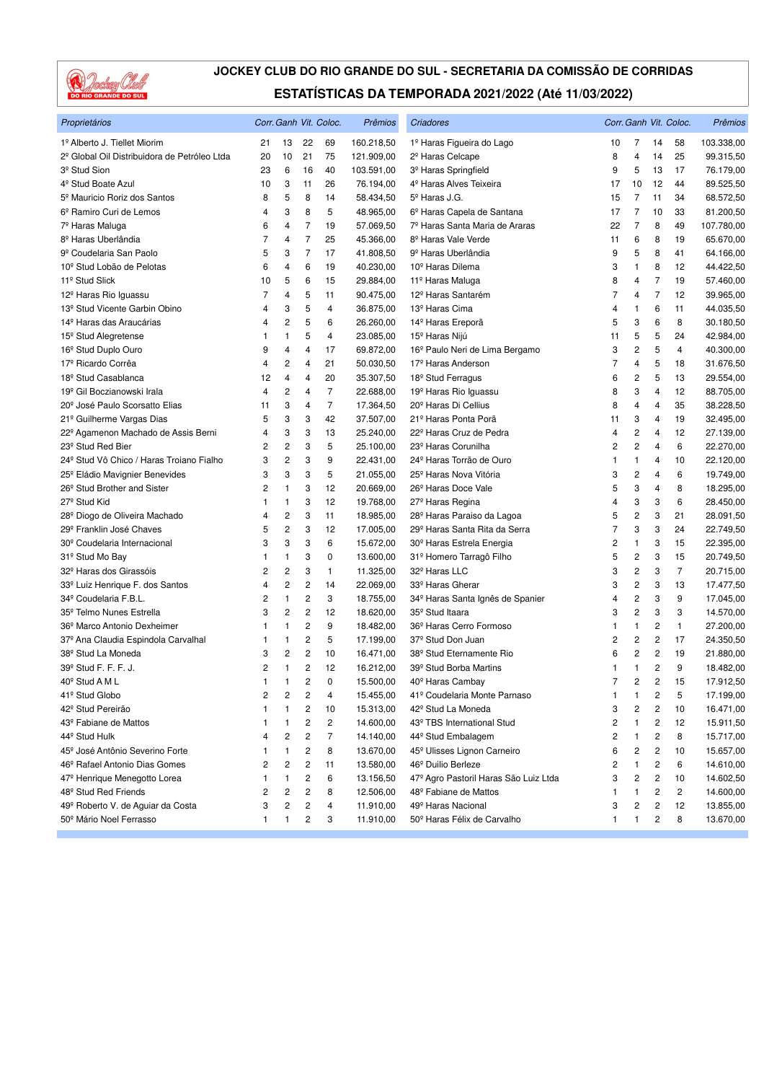

| Proprietários                                            |                |                |                | Corr. Ganh Vit. Coloc.  | Prêmios    | Criadores                                    |                |                         |                | Corr. Ganh Vit. Coloc. | Prêmios    |
|----------------------------------------------------------|----------------|----------------|----------------|-------------------------|------------|----------------------------------------------|----------------|-------------------------|----------------|------------------------|------------|
| 1º Alberto J. Tiellet Miorim                             | 21             | 13             | 22             | 69                      | 160.218,50 | 1º Haras Figueira do Lago                    | 10             | 7                       | 14             | 58                     | 103.338,00 |
| 2 <sup>º</sup> Global Oil Distribuidora de Petróleo Ltda | 20             | 10             | 21             | 75                      | 121.909,00 | 2 <sup>º</sup> Haras Celcape                 | 8              | 4                       | 14             | 25                     | 99.315,50  |
| 3 <sup>º</sup> Stud Sion                                 | 23             | 6              | 16             | 40                      | 103.591,00 | 3 <sup>º</sup> Haras Springfield             | 9              | 5                       | 13             | 17                     | 76.179,00  |
| 4 <sup>º</sup> Stud Boate Azul                           | 10             | 3              | 11             | 26                      | 76.194,00  | 4 <sup>º</sup> Haras Alves Teixeira          | 17             | 10                      | 12             | 44                     | 89.525,50  |
| 5 <sup>º</sup> Mauricio Roriz dos Santos                 | 8              | 5              | 8              | 14                      | 58.434,50  | 5 <sup>º</sup> Haras J.G.                    | 15             | 7                       | 11             | 34                     | 68.572,50  |
| 6º Ramiro Curi de Lemos                                  | 4              | 3              | 8              | 5                       | 48.965,00  | 6 <sup>º</sup> Haras Capela de Santana       | 17             | 7                       | 10             | 33                     | 81.200,50  |
| 7º Haras Maluga                                          | 6              | 4              | $\overline{7}$ | 19                      | 57.069,50  | 7º Haras Santa Maria de Araras               | 22             | $\overline{7}$          | 8              | 49                     | 107.780,00 |
| 8 <sup>º</sup> Haras Uberlândia                          | $\overline{7}$ | 4              | $\overline{7}$ | 25                      | 45.366,00  | 8 <sup>º</sup> Haras Vale Verde              | 11             | 6                       | 8              | 19                     | 65.670,00  |
| 9 <sup>º</sup> Coudelaria San Paolo                      | 5              | 3              | $\overline{7}$ | 17                      | 41.808,50  | 9 <sup>º</sup> Haras Uberlândia              | 9              | 5                       | 8              | 41                     | 64.166,00  |
| 10 <sup>°</sup> Stud Lobão de Pelotas                    | 6              | 4              | 6              | 19                      | 40.230,00  | 10 <sup>º</sup> Haras Dilema                 | 3              | $\mathbf{1}$            | 8              | 12                     | 44.422,50  |
| 11 <sup>º</sup> Stud Slick                               | 10             | 5              | 6              | 15                      | 29.884,00  | 11 <sup>º</sup> Haras Maluga                 | 8              | 4                       | $\overline{7}$ | 19                     | 57.460,00  |
| 12 <sup>º</sup> Haras Rio Iguassu                        | 7              | 4              | 5              | 11                      | 90.475,00  | 12 <sup>º</sup> Haras Santarém               | 7              | 4                       | $\overline{7}$ | 12                     | 39.965,00  |
| 13 <sup>°</sup> Stud Vicente Garbin Obino                | 4              | 3              | 5              | 4                       | 36.875,00  | 13 <sup>º</sup> Haras Cima                   | 4              | 1                       | 6              | 11                     | 44.035,50  |
| 14 <sup>º</sup> Haras das Araucárias                     | 4              | 2              | 5              | 6                       | 26.260,00  | 14 <sup>°</sup> Haras Ereporã                | 5              | 3                       | 6              | 8                      | 30.180,50  |
| 15 <sup>°</sup> Stud Alegretense                         | 1              | 1              | 5              | 4                       | 23.085,00  | 15 <sup>°</sup> Haras Nijú                   | 11             | 5                       | 5              | 24                     | 42.984,00  |
| 16 <sup>°</sup> Stud Duplo Ouro                          | 9              | 4              | 4              | 17                      | 69.872,00  | 16 <sup>°</sup> Paulo Neri de Lima Bergamo   | 3              | $\overline{\mathbf{c}}$ | 5              | 4                      | 40.300,00  |
| 17º Ricardo Corrêa                                       | 4              | 2              | 4              | 21                      | 50.030,50  | 17 <sup>º</sup> Haras Anderson               | 7              | 4                       | 5              | 18                     | 31.676,50  |
| 18 <sup>°</sup> Stud Casablanca                          | 12             | 4              | 4              | 20                      | 35.307,50  | 18 <sup>°</sup> Stud Ferragus                | 6              | 2                       | 5              | 13                     | 29.554,00  |
| 19 <sup>º</sup> Gil Boczianowski Irala                   | 4              | 2              | $\overline{4}$ | $\overline{7}$          | 22.688,00  | 19 <sup>º</sup> Haras Rio Iguassu            | 8              | 3                       | 4              | 12                     | 88.705,00  |
| 20 <sup>°</sup> José Paulo Scorsatto Elias               | 11             | 3              | 4              | $\overline{7}$          | 17.364,50  | 20 <sup>°</sup> Haras Di Cellius             | 8              | $\overline{4}$          | 4              | 35                     | 38.228,50  |
| 21º Guilherme Vargas Dias                                | 5              | 3              | 3              | 42                      | 37.507,00  | 21 <sup>º</sup> Haras Ponta Porã             | 11             | 3                       | 4              | 19                     | 32.495,00  |
| 22º Agamenon Machado de Assis Berni                      | 4              | 3              | 3              | 13                      | 25.240,00  | 22 <sup>°</sup> Haras Cruz de Pedra          | 4              | $\mathbf 2$             | 4              | 12                     | 27.139,00  |
| 23 <sup>°</sup> Stud Red Bier                            | 2              | 2              | 3              | 5                       | 25.100,00  | 23 <sup>º</sup> Haras Corunilha              | 2              | $\overline{c}$          | 4              | 6                      | 22.270,00  |
| 24º Stud Vô Chico / Haras Troiano Fialho                 | 3              | 2              | 3              | 9                       | 22.431,00  | 24 <sup>º</sup> Haras Torrão de Ouro         | 1              | 1                       | 4              | 10                     | 22.120,00  |
| 25 <sup>°</sup> Eládio Mavignier Benevides               | 3              | 3              | 3              | 5                       | 21.055,00  | 25 <sup>º</sup> Haras Nova Vitória           | 3              | $\overline{\mathbf{c}}$ | 4              | 6                      | 19.749,00  |
| 26 <sup>°</sup> Stud Brother and Sister                  | 2              | 1              | 3              | 12                      | 20.669,00  | 26 <sup>°</sup> Haras Doce Vale              | 5              | 3                       | 4              | 8                      | 18.295,00  |
| 27 <sup>°</sup> Stud Kid                                 | 1              | 1              | 3              | 12                      | 19.768,00  | 27 <sup>°</sup> Haras Regina                 | 4              | 3                       | 3              | 6                      | 28.450,00  |
| 28 <sup>°</sup> Diogo de Oliveira Machado                | 4              | 2              | 3              | 11                      | 18.985,00  | 28º Haras Paraiso da Lagoa                   | 5              | $\overline{\mathbf{c}}$ | 3              | 21                     | 28.091,50  |
| 29º Franklin José Chaves                                 | 5              | 2              | 3              | 12                      | 17.005,00  | 29º Haras Santa Rita da Serra                | 7              | 3                       | 3              | 24                     | 22.749,50  |
| 30 <sup>°</sup> Coudelaria Internacional                 | 3              | 3              | 3              | 6                       | 15.672,00  | 30 <sup>°</sup> Haras Estrela Energia        | 2              | 1                       | 3              | 15                     | 22.395,00  |
| 31º Stud Mo Bay                                          | 1              | 1              | 3              | 0                       | 13.600,00  | 31º Homero Tarragô Filho                     | 5              | 2                       | 3              | 15                     | 20.749,50  |
| 32 <sup>º</sup> Haras dos Girassóis                      | 2              | 2              | 3              | 1                       | 11.325,00  | 32º Haras LLC                                | 3              | 2                       | 3              | $\overline{7}$         | 20.715,00  |
| 33º Luiz Henrique F. dos Santos                          | 4              | 2              | 2              | 14                      | 22.069,00  | 33 <sup>º</sup> Haras Gherar                 | 3              | $\overline{\mathbf{c}}$ | 3              | 13                     | 17.477,50  |
| 34 <sup>º</sup> Coudelaria F.B.L.                        | 2              | $\mathbf{1}$   | 2              | 3                       | 18.755,00  | 34 <sup>º</sup> Haras Santa Ignês de Spanier | 4              | $\mathbf 2$             | 3              | 9                      | 17.045,00  |
| 35 <sup>°</sup> Telmo Nunes Estrella                     | 3              | 2              | $\overline{c}$ | 12                      | 18.620,00  | 35 <sup>°</sup> Stud Itaara                  | 3              | $\overline{c}$          | 3              | 3                      | 14.570,00  |
| 36º Marco Antonio Dexheimer                              |                | 1              | 2              | 9                       | 18.482,00  | 36º Haras Cerro Formoso                      | 1              | 1                       | 2              | $\mathbf{1}$           | 27.200,00  |
| 37º Ana Claudia Espindola Carvalhal                      | 1              | 1              | 2              | 5                       | 17.199,00  | 37 <sup>º</sup> Stud Don Juan                | 2              | 2                       | 2              | 17                     | 24.350,50  |
| 38 <sup>°</sup> Stud La Moneda                           | 3              | 2              | 2              | 10                      | 16.471,00  | 38 <sup>°</sup> Stud Eternamente Rio         | 6              | 2                       | 2              | 19                     | 21.880,00  |
| 39° Stud F. F. F. J.                                     | 2              | 1              | 2              | 12                      | 16.212,00  | 39º Stud Borba Martins                       | 1              | $\mathbf{1}$            | 2              | 9                      | 18.482,00  |
| 40 <sup>°</sup> Stud A M L                               | $\mathbf{1}$   | 1              | $\overline{c}$ | $\mathbf 0$             | 15.500,00  | 40 <sup>°</sup> Haras Cambay                 | $\overline{7}$ | 2                       | 2              | 15                     | 17.912,50  |
| 41º Stud Globo                                           | 2              | 2              | 2              | 4                       | 15.455,00  | 41º Coudelaria Monte Parnaso                 | 1              | 1                       | 2              | 5                      | 17.199,00  |
| 42 <sup>º</sup> Stud Pereirão                            | 1              | 1              | 2              | 10                      | 15.313,00  | 42 <sup>°</sup> Stud La Moneda               | 3              | 2                       | 2              | 10                     | 16.471,00  |
| 43 <sup>°</sup> Fabiane de Mattos                        | 1              | 1              | 2              | $\overline{\mathbf{c}}$ | 14.600,00  | 43º TBS International Stud                   | 2              | 1                       | 2              | 12                     | 15.911,50  |
| 44º Stud Hulk                                            | 4              | 2              | 2              | 7                       | 14.140,00  | 44 <sup>°</sup> Stud Embalagem               | 2              | 1                       | 2              | 8                      | 15.717,00  |
| 45 <sup>º</sup> José Antônio Severino Forte              |                | 1              | 2              | 8                       | 13.670,00  | 45 <sup>°</sup> Ulisses Lignon Carneiro      | 6              | 2                       | 2              | 10                     | 15.657,00  |
| 46 <sup>°</sup> Rafael Antonio Dias Gomes                | 2              | $\overline{c}$ | 2              | 11                      | 13.580,00  | 46 <sup>°</sup> Duilio Berleze               | 2              | 1                       | 2              | 6                      | 14.610,00  |
| 47º Henrique Menegotto Lorea                             | 1              | 1              | 2              | 6                       | 13.156,50  | 47º Agro Pastoril Haras São Luiz Ltda        | 3              | 2                       | 2              | 10                     | 14.602,50  |
| 48 <sup>°</sup> Stud Red Friends                         | 2              | 2              | 2              | 8                       | 12.506,00  | 48 <sup>°</sup> Fabiane de Mattos            | 1              | 1                       | 2              | 2                      | 14.600,00  |
| 49º Roberto V. de Aguiar da Costa                        | 3              | 2              | 2              | 4                       | 11.910,00  | 49º Haras Nacional                           | 3              | 2                       | 2              | 12                     | 13.855,00  |
| 50º Mário Noel Ferrasso                                  | 1              | 1              | 2              | 3                       | 11.910,00  | 50 <sup>°</sup> Haras Félix de Carvalho      | 1              | 1                       | 2              | 8                      | 13.670,00  |
|                                                          |                |                |                |                         |            |                                              |                |                         |                |                        |            |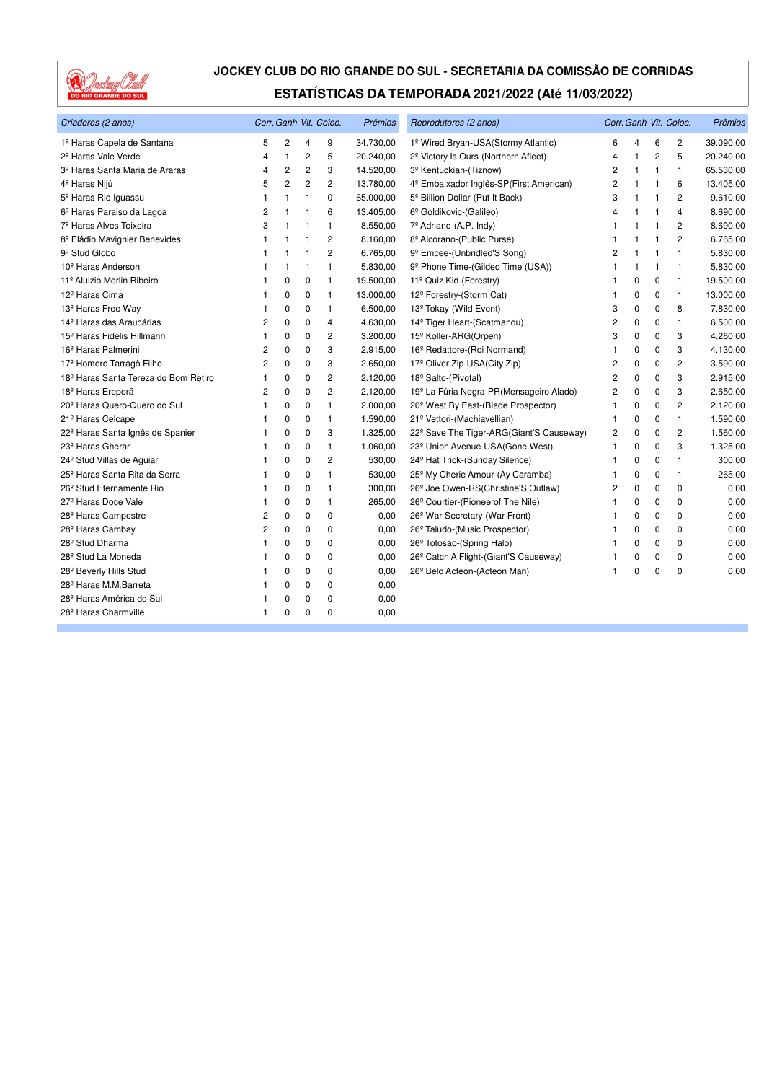

| Criadores (2 anos)                           |                |                |                | Corr. Ganh Vit. Coloc. | Prêmios   | Reprodutores (2 anos)                             |                |              |                | Corr. Ganh Vit. Coloc. | Prêmios   |
|----------------------------------------------|----------------|----------------|----------------|------------------------|-----------|---------------------------------------------------|----------------|--------------|----------------|------------------------|-----------|
| 1º Haras Capela de Santana                   | 5              | $\overline{2}$ | 4              | 9                      | 34.730,00 | 1º Wired Bryan-USA(Stormy Atlantic)               | 6              | 4            | 6              | $\overline{c}$         | 39.090,00 |
| 2 <sup>º</sup> Haras Vale Verde              | 4              | $\mathbf{1}$   | $\overline{c}$ | 5                      | 20.240,00 | 2 <sup>º</sup> Victory Is Ours-(Northern Afleet)  | 4              | 1            | 2              | 5                      | 20.240,00 |
| 3 <sup>º</sup> Haras Santa Maria de Araras   | 4              | $\overline{c}$ | 2              | 3                      | 14.520,00 | 3 <sup>º</sup> Kentuckian-(Tiznow)                | 2              | 1            | $\overline{1}$ | $\mathbf{1}$           | 65.530,00 |
| 4 <sup>º</sup> Haras Nijú                    | 5              | $\overline{c}$ | 2              | 2                      | 13.780,00 | 4º Embaixador Inglês-SP(First American)           | 2              | 1            | $\overline{1}$ | 6                      | 13.405,00 |
| 5 <sup>°</sup> Haras Rio Iguassu             | 1              | -1             | 1              | 0                      | 65.000,00 | 5º Billion Dollar-(Put It Back)                   | 3              | 1            | 1              | $\overline{c}$         | 9.610,00  |
| 6º Haras Paraiso da Lagoa                    | 2              | -1             |                | 6                      | 13.405,00 | 6º Goldikovic-(Galileo)                           | 4              | 1            | 1              | 4                      | 8.690,00  |
| 7º Haras Alves Teixeira                      | 3              |                |                | 1                      | 8.550,00  | 7º Adriano-(A.P. Indy)                            | 1              | $\mathbf{1}$ | 1              | 2                      | 8.690,00  |
| 8 <sup>º</sup> Eládio Mavignier Benevides    | 1              | -1             | 1              | 2                      | 8.160,00  | 8º Alcorano-(Public Purse)                        | 1              | 1            | 1              | $\overline{2}$         | 6.765,00  |
| 9 <sup>º</sup> Stud Globo                    |                | -1             | 1              | $\overline{2}$         | 6.765,00  | 9 <sup>º</sup> Emcee-(Unbridled'S Song)           | 2              | 1            | 1              | $\mathbf{1}$           | 5.830,00  |
| 10 <sup>°</sup> Haras Anderson               |                | $\overline{1}$ | 1              | 1                      | 5.830,00  | 9º Phone Time-(Gilded Time (USA))                 | 1              | $\mathbf{1}$ | $\overline{1}$ | $\mathbf{1}$           | 5.830,00  |
| 11º Aluizio Merlin Ribeiro                   |                | 0              | 0              | 1                      | 19.500,00 | 11º Quiz Kid-(Forestry)                           | 1              | 0            | 0              | $\mathbf{1}$           | 19.500,00 |
| 12 <sup>º</sup> Haras Cima                   |                | 0              | $\mathbf 0$    | 1                      | 13.000,00 | 12 <sup>°</sup> Forestry-(Storm Cat)              | 1              | 0            | 0              | $\mathbf{1}$           | 13.000,00 |
| 13 <sup>°</sup> Haras Free Way               |                | 0              | 0              | 1                      | 6.500,00  | 13º Tokay-(Wild Event)                            | 3              | 0            | 0              | 8                      | 7.830,00  |
| 14 <sup>º</sup> Haras das Araucárias         | 2              | 0              | 0              | 4                      | 4.630,00  | 14 <sup>º</sup> Tiger Heart-(Scatmandu)           | 2              | 0            | 0              | $\mathbf{1}$           | 6.500,00  |
| 15 <sup>°</sup> Haras Fidelis Hillmann       |                | 0              | 0              | $\overline{c}$         | 3.200,00  | 15 <sup>°</sup> Koller-ARG(Orpen)                 | 3              | 0            | 0              | 3                      | 4.260,00  |
| 16 <sup>°</sup> Haras Palmerini              | 2              | 0              | 0              | 3                      | 2.915,00  | 16 <sup>°</sup> Redattore-(Roi Normand)           | 1              | 0            | 0              | 3                      | 4.130,00  |
| 17º Homero Tarragô Filho                     | 2              | 0              | 0              | 3                      | 2.650,00  | 17 <sup>°</sup> Oliver Zip-USA(City Zip)          | 2              | 0            | 0              | 2                      | 3.590,00  |
| 18º Haras Santa Tereza do Bom Retiro         | 1              | 0              | 0              | $\overline{c}$         | 2.120,00  | 18º Salto-(Pivotal)                               | 2              | 0            | 0              | 3                      | 2.915,00  |
| 18 <sup>º</sup> Haras Ereporã                | 2              | 0              | 0              | 2                      | 2.120,00  | 19º La Fúria Negra-PR(Mensageiro Alado)           | 2              | 0            | 0              | 3                      | 2.650,00  |
| 20 <sup>°</sup> Haras Quero-Quero do Sul     |                | 0              | 0              | 1                      | 2.000,00  | 20 <sup>°</sup> West By East-(Blade Prospector)   | 1              | 0            | 0              | 2                      | 2.120,00  |
| 21 <sup>º</sup> Haras Celcape                |                | 0              | 0              | 1                      | 1.590,00  | 21º Vettori-(Machiavellian)                       | 1              | 0            | 0              | $\mathbf{1}$           | 1.590,00  |
| 22 <sup>º</sup> Haras Santa Ignês de Spanier |                | 0              | 0              | 3                      | 1.325,00  | 22º Save The Tiger-ARG(Giant'S Causeway)          | $\overline{c}$ | 0            | 0              | $\overline{c}$         | 1.560,00  |
| 23 <sup>°</sup> Haras Gherar                 |                | 0              | 0              | 1                      | 1.060,00  | 23 <sup>°</sup> Union Avenue-USA(Gone West)       | 1              | 0            | $\Omega$       | 3                      | 1.325,00  |
| 24 <sup>°</sup> Stud Villas de Aguiar        |                | 0              | 0              | 2                      | 530,00    | 24 <sup>°</sup> Hat Trick-(Sunday Silence)        | 1              | 0            | 0              | $\mathbf{1}$           | 300,00    |
| 25 <sup>°</sup> Haras Santa Rita da Serra    |                | 0              | 0              | 1                      | 530,00    | 25 <sup>°</sup> My Cherie Amour-(Ay Caramba)      | 1              | 0            | $\Omega$       | $\mathbf{1}$           | 265,00    |
| 26 <sup>°</sup> Stud Eternamente Rio         |                | 0              | 0              | 1                      | 300,00    | 26 <sup>°</sup> Joe Owen-RS(Christine'S Outlaw)   | 2              | 0            | 0              | 0                      | 0,00      |
| 27 <sup>°</sup> Haras Doce Vale              |                | 0              | 0              | 1                      | 265,00    | 26 <sup>°</sup> Courtier-(Pioneerof The Nile)     | 1              | 0            | $\Omega$       | 0                      | 0,00      |
| 28 <sup>°</sup> Haras Campestre              | 2              | 0              | 0              | 0                      | 0,00      | 26 <sup>°</sup> War Secretary-(War Front)         | 1              | 0            | 0              | 0                      | 0,00      |
| 28 <sup>°</sup> Haras Cambay                 | $\overline{c}$ | 0              | 0              | 0                      | 0,00      | 26º Taludo-(Music Prospector)                     | 1              | 0            | $\Omega$       | 0                      | 0,00      |
| 28 <sup>°</sup> Stud Dharma                  |                | 0              | 0              | 0                      | 0,00      | 26 <sup>°</sup> Totosão-(Spring Halo)             |                | 0            | $\Omega$       | $\Omega$               | 0,00      |
| 28 <sup>°</sup> Stud La Moneda               |                | 0              | 0              | 0                      | 0,00      | 26 <sup>°</sup> Catch A Flight-(Giant'S Causeway) | 1              | 0            | 0              | 0                      | 0,00      |
| 28 <sup>°</sup> Beverly Hills Stud           |                | 0              | 0              | 0                      | 0,00      | 26º Belo Acteon-(Acteon Man)                      | 1              | $\Omega$     | $\Omega$       | $\Omega$               | 0,00      |
| 28 <sup>°</sup> Haras M.M.Barreta            |                | 0              | 0              | 0                      | 0,00      |                                                   |                |              |                |                        |           |
| 28º Haras América do Sul                     |                | 0              | 0              | 0                      | 0,00      |                                                   |                |              |                |                        |           |
| 28 <sup>°</sup> Haras Charmville             | 1              | 0              | 0              | $\Omega$               | 0,00      |                                                   |                |              |                |                        |           |